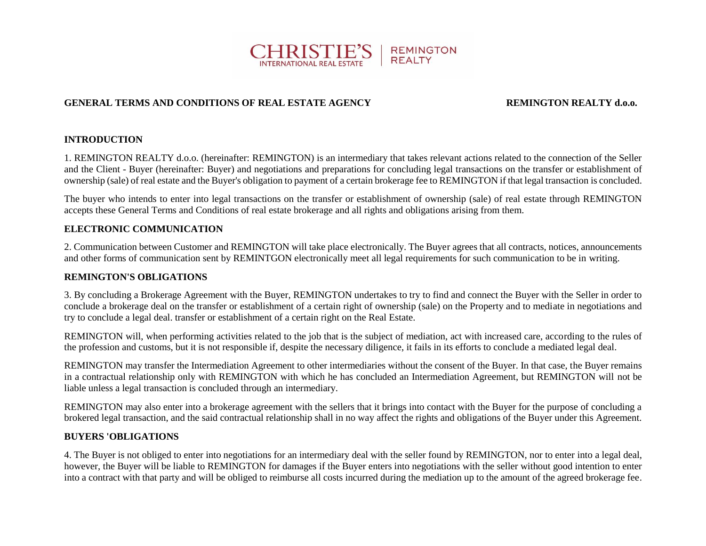

# **GENERAL TERMS AND CONDITIONS OF REAL ESTATE AGENCY REMINGTON REALTY d.o.o.**

# **INTRODUCTION**

1. REMINGTON REALTY d.o.o. (hereinafter: REMINGTON) is an intermediary that takes relevant actions related to the connection of the Seller and the Client - Buyer (hereinafter: Buyer) and negotiations and preparations for concluding legal transactions on the transfer or establishment of ownership (sale) of real estate and the Buyer's obligation to payment of a certain brokerage fee to REMINGTON if that legal transaction is concluded.

The buyer who intends to enter into legal transactions on the transfer or establishment of ownership (sale) of real estate through REMINGTON accepts these General Terms and Conditions of real estate brokerage and all rights and obligations arising from them.

### **ELECTRONIC COMMUNICATION**

2. Communication between Customer and REMINGTON will take place electronically. The Buyer agrees that all contracts, notices, announcements and other forms of communication sent by REMINTGON electronically meet all legal requirements for such communication to be in writing.

### **REMINGTON'S OBLIGATIONS**

3. By concluding a Brokerage Agreement with the Buyer, REMINGTON undertakes to try to find and connect the Buyer with the Seller in order to conclude a brokerage deal on the transfer or establishment of a certain right of ownership (sale) on the Property and to mediate in negotiations and try to conclude a legal deal. transfer or establishment of a certain right on the Real Estate.

REMINGTON will, when performing activities related to the job that is the subject of mediation, act with increased care, according to the rules of the profession and customs, but it is not responsible if, despite the necessary diligence, it fails in its efforts to conclude a mediated legal deal.

REMINGTON may transfer the Intermediation Agreement to other intermediaries without the consent of the Buyer. In that case, the Buyer remains in a contractual relationship only with REMINGTON with which he has concluded an Intermediation Agreement, but REMINGTON will not be liable unless a legal transaction is concluded through an intermediary.

REMINGTON may also enter into a brokerage agreement with the sellers that it brings into contact with the Buyer for the purpose of concluding a brokered legal transaction, and the said contractual relationship shall in no way affect the rights and obligations of the Buyer under this Agreement.

### **BUYERS 'OBLIGATIONS**

4. The Buyer is not obliged to enter into negotiations for an intermediary deal with the seller found by REMINGTON, nor to enter into a legal deal, however, the Buyer will be liable to REMINGTON for damages if the Buyer enters into negotiations with the seller without good intention to enter into a contract with that party and will be obliged to reimburse all costs incurred during the mediation up to the amount of the agreed brokerage fee.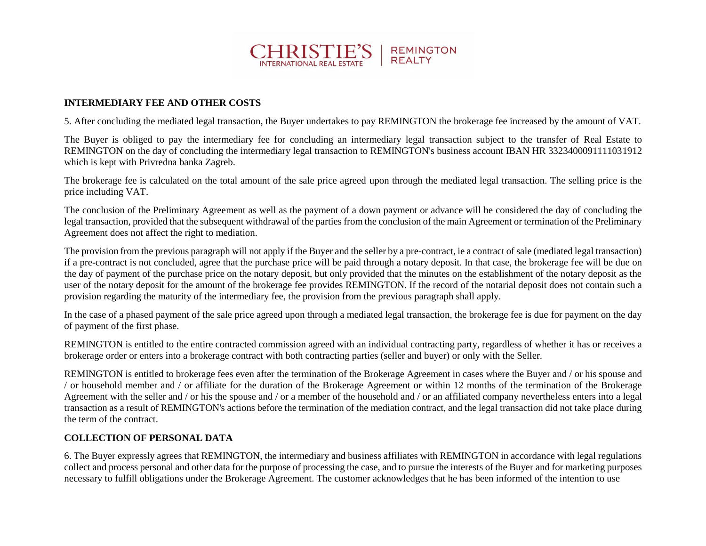

## **INTERMEDIARY FEE AND OTHER COSTS**

5. After concluding the mediated legal transaction, the Buyer undertakes to pay REMINGTON the brokerage fee increased by the amount of VAT.

The Buyer is obliged to pay the intermediary fee for concluding an intermediary legal transaction subject to the transfer of Real Estate to REMINGTON on the day of concluding the intermediary legal transaction to REMINGTON's business account IBAN HR 3323400091111031912 which is kept with Privredna banka Zagreb.

The brokerage fee is calculated on the total amount of the sale price agreed upon through the mediated legal transaction. The selling price is the price including VAT.

The conclusion of the Preliminary Agreement as well as the payment of a down payment or advance will be considered the day of concluding the legal transaction, provided that the subsequent withdrawal of the parties from the conclusion of the main Agreement or termination of the Preliminary Agreement does not affect the right to mediation.

The provision from the previous paragraph will not apply if the Buyer and the seller by a pre-contract, ie a contract of sale (mediated legal transaction) if a pre-contract is not concluded, agree that the purchase price will be paid through a notary deposit. In that case, the brokerage fee will be due on the day of payment of the purchase price on the notary deposit, but only provided that the minutes on the establishment of the notary deposit as the user of the notary deposit for the amount of the brokerage fee provides REMINGTON. If the record of the notarial deposit does not contain such a provision regarding the maturity of the intermediary fee, the provision from the previous paragraph shall apply.

In the case of a phased payment of the sale price agreed upon through a mediated legal transaction, the brokerage fee is due for payment on the day of payment of the first phase.

REMINGTON is entitled to the entire contracted commission agreed with an individual contracting party, regardless of whether it has or receives a brokerage order or enters into a brokerage contract with both contracting parties (seller and buyer) or only with the Seller.

REMINGTON is entitled to brokerage fees even after the termination of the Brokerage Agreement in cases where the Buyer and / or his spouse and / or household member and / or affiliate for the duration of the Brokerage Agreement or within 12 months of the termination of the Brokerage Agreement with the seller and / or his the spouse and / or a member of the household and / or an affiliated company nevertheless enters into a legal transaction as a result of REMINGTON's actions before the termination of the mediation contract, and the legal transaction did not take place during the term of the contract.

### **COLLECTION OF PERSONAL DATA**

6. The Buyer expressly agrees that REMINGTON, the intermediary and business affiliates with REMINGTON in accordance with legal regulations collect and process personal and other data for the purpose of processing the case, and to pursue the interests of the Buyer and for marketing purposes necessary to fulfill obligations under the Brokerage Agreement. The customer acknowledges that he has been informed of the intention to use